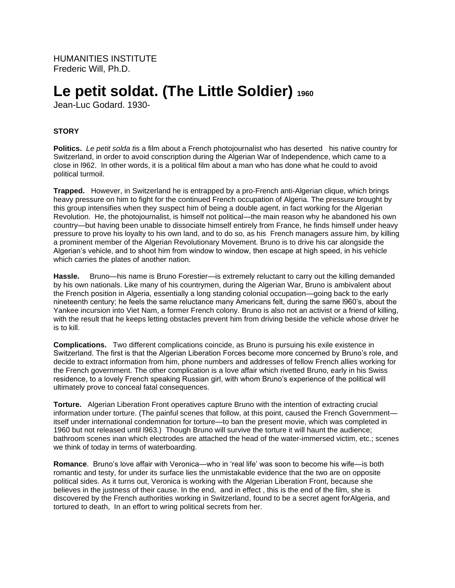HUMANITIES INSTITUTE Frederic Will, Ph.D.

# **Le petit soldat. (The Little Soldier)<sup>1960</sup>**

Jean-Luc Godard. 1930-

# **STORY**

**Politics.** *Le petit solda t*is a film about a French photojournalist who has deserted his native country for Switzerland, in order to avoid conscription during the Algerian War of Independence, which came to a close in l962. In other words, it is a political film about a man who has done what he could to avoid political turmoil.

**Trapped.** However, in Switzerland he is entrapped by a pro-French anti-Algerian clique, which brings heavy pressure on him to fight for the continued French occupation of Algeria. The pressure brought by this group intensifies when they suspect him of being a double agent, in fact working for the Algerian Revolution. He, the photojournalist, is himself not political—the main reason why he abandoned his own country—but having been unable to dissociate himself entirely from France, he finds himself under heavy pressure to prove his loyalty to his own land, and to do so, as his French managers assure him, by killing a prominent member of the Algerian Revolutionary Movement. Bruno is to drive his car alongside the Algerian's vehicle, and to shoot him from window to window, then escape at high speed, in his vehicle which carries the plates of another nation.

Hassle. Bruno—his name is Bruno Forestier—is extremely reluctant to carry out the killing demanded by his own nationals. Like many of his countrymen, during the Algerian War, Bruno is ambivalent about the French position in Algeria, essentially a long standing colonial occupation—going back to the early nineteenth century; he feels the same reluctance many Americans felt, during the same l960's, about the Yankee incursion into Viet Nam, a former French colony. Bruno is also not an activist or a friend of killing, with the result that he keeps letting obstacles prevent him from driving beside the vehicle whose driver he is to kill.

**Complications.** Two different complications coincide, as Bruno is pursuing his exile existence in Switzerland. The first is that the Algerian Liberation Forces become more concerned by Bruno's role, and decide to extract information from him, phone numbers and addresses of fellow French allies working for the French government. The other complication is a love affair which rivetted Bruno, early in his Swiss residence, to a lovely French speaking Russian girl, with whom Bruno's experience of the political will ultimately prove to conceal fatal consequences.

**Torture.** Algerian Liberation Front operatives capture Bruno with the intention of extracting crucial information under torture. (The painful scenes that follow, at this point, caused the French Government itself under international condemnation for torture—to ban the present movie, which was completed in 1960 but not released until l963.) Though Bruno will survive the torture it will haunt the audience; bathroom scenes inan which electrodes are attached the head of the water-immersed victim, etc.; scenes we think of today in terms of waterboarding.

**Romance**. Bruno's love affair with Veronica—who in 'real life' was soon to become his wife—is both romantic and testy, for under its surface lies the unmistakable evidence that the two are on opposite political sides. As it turns out, Veronica is working with the Algerian Liberation Front, because she believes in the justness of their cause. In the end, and in effect , this is the end of the film, she is discovered by the French authorities working in Switzerland, found to be a secret agent forAlgeria, and tortured to death, In an effort to wring political secrets from her.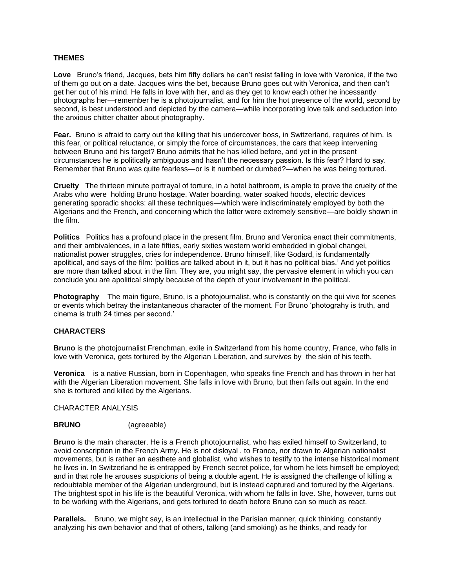## **THEMES**

**Love** Bruno's friend, Jacques, bets him fifty dollars he can't resist falling in love with Veronica, if the two of them go out on a date. Jacques wins the bet, because Bruno goes out with Veronica, and then can't get her out of his mind. He falls in love with her, and as they get to know each other he incessantly photographs her—remember he is a photojournalist, and for him the hot presence of the world, second by second, is best understood and depicted by the camera—while incorporating love talk and seduction into the anxious chitter chatter about photography.

**Fear.** Bruno is afraid to carry out the killing that his undercover boss, in Switzerland, requires of him. Is this fear, or political reluctance, or simply the force of circumstances, the cars that keep intervening between Bruno and his target? Bruno admits that he has killed before, and yet in the present circumstances he is politically ambiguous and hasn't the necessary passion. Is this fear? Hard to say. Remember that Bruno was quite fearless—or is it numbed or dumbed?—when he was being tortured.

**Cruelty** The thirteen minute portrayal of torture, in a hotel bathroom, is ample to prove the cruelty of the Arabs who were holding Bruno hostage. Water boarding, water soaked hoods, electric devices generating sporadic shocks: all these techniques—which were indiscriminately employed by both the Algerians and the French, and concerning which the latter were extremely sensitive—are boldly shown in the film.

**Politics** Politics has a profound place in the present film. Bruno and Veronica enact their commitments, and their ambivalences, in a late fifties, early sixties western world embedded in global changei, nationalist power struggles, cries for independence. Bruno himself, like Godard, is fundamentally apolitical, and says of the film: 'politics are talked about in it, but it has no political bias.' And yet politics are more than talked about in the film. They are, you might say, the pervasive element in which you can conclude you are apolitical simply because of the depth of your involvement in the political.

**Photography** The main figure, Bruno, is a photojournalist, who is constantly on the qui vive for scenes or events which betray the instantaneous character of the moment. For Bruno 'photograhy is truth, and cinema is truth 24 times per second.'

# **CHARACTERS**

**Bruno** is the photojournalist Frenchman, exile in Switzerland from his home country, France, who falls in love with Veronica, gets tortured by the Algerian Liberation, and survives by the skin of his teeth.

**Veronica** is a native Russian, born in Copenhagen, who speaks fine French and has thrown in her hat with the Algerian Liberation movement. She falls in love with Bruno, but then falls out again. In the end she is tortured and killed by the Algerians.

#### CHARACTER ANALYSIS

## **BRUNO** (agreeable)

**Bruno** is the main character. He is a French photojournalist, who has exiled himself to Switzerland, to avoid conscription in the French Army. He is not disloyal , to France, nor drawn to Algerian nationalist movements, but is rather an aesthete and globalist, who wishes to testify to the intense historical moment he lives in. In Switzerland he is entrapped by French secret police, for whom he lets himself be employed; and in that role he arouses suspicions of being a double agent. He is assigned the challenge of killing a redoubtable member of the Algerian underground, but is instead captured and tortured by the Algerians. The brightest spot in his life is the beautiful Veronica, with whom he falls in love. She, however, turns out to be working with the Algerians, and gets tortured to death before Bruno can so much as react.

**Parallels.** Bruno, we might say, is an intellectual in the Parisian manner, quick thinking, constantly analyzing his own behavior and that of others, talking (and smoking) as he thinks, and ready for